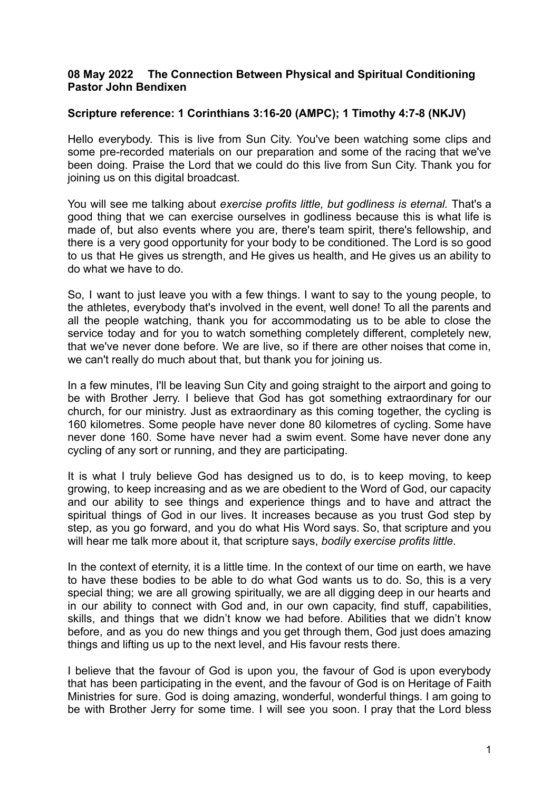## **08 May 2022 The Connection Between Physical and Spiritual Conditioning Pastor John Bendixen**

## **Scripture reference: 1 Corinthians 3:16-20 (AMPC); 1 Timothy 4:7-8 (NKJV)**

Hello everybody. This is live from Sun City. You've been watching some clips and some pre-recorded materials on our preparation and some of the racing that we've been doing. Praise the Lord that we could do this live from Sun City. Thank you for joining us on this digital broadcast.

You will see me talking about *exercise profits little, but godliness is eternal.* That's a good thing that we can exercise ourselves in godliness because this is what life is made of, but also events where you are, there's team spirit, there's fellowship, and there is a very good opportunity for your body to be conditioned. The Lord is so good to us that He gives us strength, and He gives us health, and He gives us an ability to do what we have to do.

So, I want to just leave you with a few things. I want to say to the young people, to the athletes, everybody that's involved in the event, well done! To all the parents and all the people watching, thank you for accommodating us to be able to close the service today and for you to watch something completely different, completely new, that we've never done before. We are live, so if there are other noises that come in, we can't really do much about that, but thank you for joining us.

In a few minutes, I'll be leaving Sun City and going straight to the airport and going to be with Brother Jerry. I believe that God has got something extraordinary for our church, for our ministry. Just as extraordinary as this coming together, the cycling is 160 kilometres. Some people have never done 80 kilometres of cycling. Some have never done 160. Some have never had a swim event. Some have never done any cycling of any sort or running, and they are participating.

It is what I truly believe God has designed us to do, is to keep moving, to keep growing, to keep increasing and as we are obedient to the Word of God, our capacity and our ability to see things and experience things and to have and attract the spiritual things of God in our lives. It increases because as you trust God step by step, as you go forward, and you do what His Word says. So, that scripture and you will hear me talk more about it, that scripture says, *bodily exercise profits little*.

In the context of eternity, it is a little time. In the context of our time on earth, we have to have these bodies to be able to do what God wants us to do. So, this is a very special thing; we are all growing spiritually, we are all digging deep in our hearts and in our ability to connect with God and, in our own capacity, find stuff, capabilities, skills, and things that we didn't know we had before. Abilities that we didn't know before, and as you do new things and you get through them, God just does amazing things and lifting us up to the next level, and His favour rests there.

I believe that the favour of God is upon you, the favour of God is upon everybody that has been participating in the event, and the favour of God is on Heritage of Faith Ministries for sure. God is doing amazing, wonderful, wonderful things. I am going to be with Brother Jerry for some time. I will see you soon. I pray that the Lord bless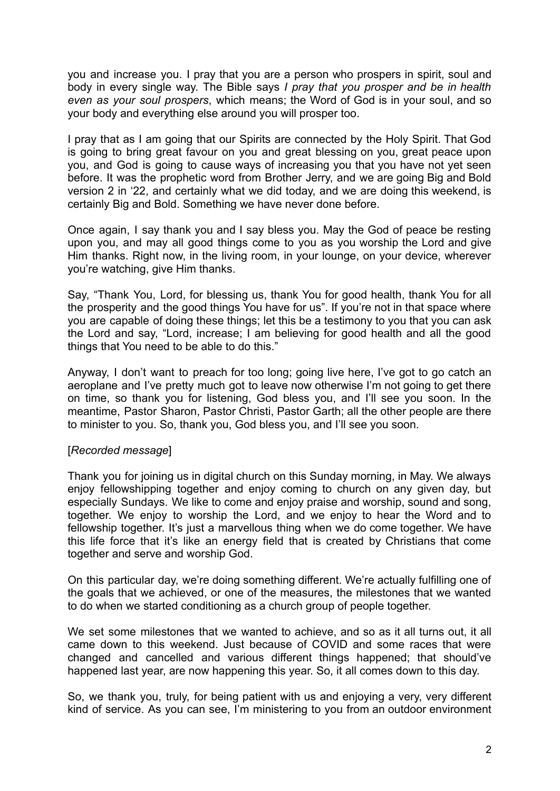you and increase you. I pray that you are a person who prospers in spirit, soul and body in every single way. The Bible says *I pray that you prosper and be in health even as your soul prospers*, which means; the Word of God is in your soul, and so your body and everything else around you will prosper too.

I pray that as I am going that our Spirits are connected by the Holy Spirit. That God is going to bring great favour on you and great blessing on you, great peace upon you, and God is going to cause ways of increasing you that you have not yet seen before. It was the prophetic word from Brother Jerry, and we are going Big and Bold version 2 in '22, and certainly what we did today, and we are doing this weekend, is certainly Big and Bold. Something we have never done before.

Once again, I say thank you and I say bless you. May the God of peace be resting upon you, and may all good things come to you as you worship the Lord and give Him thanks. Right now, in the living room, in your lounge, on your device, wherever you're watching, give Him thanks.

Say, "Thank You, Lord, for blessing us, thank You for good health, thank You for all the prosperity and the good things You have for us". If you're not in that space where you are capable of doing these things; let this be a testimony to you that you can ask the Lord and say, "Lord, increase; I am believing for good health and all the good things that You need to be able to do this."

Anyway, I don't want to preach for too long; going live here, I've got to go catch an aeroplane and I've pretty much got to leave now otherwise I'm not going to get there on time, so thank you for listening, God bless you, and I'll see you soon. In the meantime, Pastor Sharon, Pastor Christi, Pastor Garth; all the other people are there to minister to you. So, thank you, God bless you, and I'll see you soon.

## [*Recorded message*]

Thank you for joining us in digital church on this Sunday morning, in May. We always enjoy fellowshipping together and enjoy coming to church on any given day, but especially Sundays. We like to come and enjoy praise and worship, sound and song, together. We enjoy to worship the Lord, and we enjoy to hear the Word and to fellowship together. It's just a marvellous thing when we do come together. We have this life force that it's like an energy field that is created by Christians that come together and serve and worship God.

On this particular day, we're doing something different. We're actually fulfilling one of the goals that we achieved, or one of the measures, the milestones that we wanted to do when we started conditioning as a church group of people together.

We set some milestones that we wanted to achieve, and so as it all turns out, it all came down to this weekend. Just because of COVID and some races that were changed and cancelled and various different things happened; that should've happened last year, are now happening this year. So, it all comes down to this day.

So, we thank you, truly, for being patient with us and enjoying a very, very different kind of service. As you can see, I'm ministering to you from an outdoor environment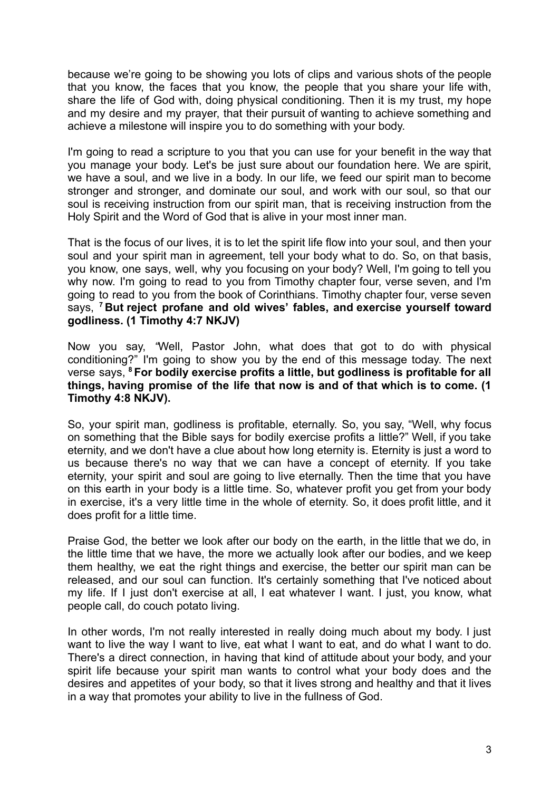because we're going to be showing you lots of clips and various shots of the people that you know, the faces that you know, the people that you share your life with, share the life of God with, doing physical conditioning. Then it is my trust, my hope and my desire and my prayer, that their pursuit of wanting to achieve something and achieve a milestone will inspire you to do something with your body.

I'm going to read a scripture to you that you can use for your benefit in the way that you manage your body. Let's be just sure about our foundation here. We are spirit, we have a soul, and we live in a body. In our life, we feed our spirit man to become stronger and stronger, and dominate our soul, and work with our soul, so that our soul is receiving instruction from our spirit man, that is receiving instruction from the Holy Spirit and the Word of God that is alive in your most inner man.

That is the focus of our lives, it is to let the spirit life flow into your soul, and then your soul and your spirit man in agreement, tell your body what to do. So, on that basis, you know, one says, well, why you focusing on your body? Well, I'm going to tell you why now. I'm going to read to you from Timothy chapter four, verse seven, and I'm going to read to you from the book of Corinthians. Timothy chapter four, verse seven says, **<sup>7</sup> But reject profane and old wives' fables, and exercise yourself toward godliness. (1 Timothy 4:7 NKJV)**

Now you say, *"*Well, Pastor John, what does that got to do with physical conditioning?" I'm going to show you by the end of this message today. The next verse says, **<sup>8</sup> For bodily exercise profits a little, but godliness is profitable for all things, having promise of the life that now is and of that which is to come. (1 Timothy 4:8 NKJV).**

So, your spirit man, godliness is profitable, eternally. So, you say, "Well, why focus on something that the Bible says for bodily exercise profits a little?" Well, if you take eternity, and we don't have a clue about how long eternity is. Eternity is just a word to us because there's no way that we can have a concept of eternity. If you take eternity, your spirit and soul are going to live eternally. Then the time that you have on this earth in your body is a little time. So, whatever profit you get from your body in exercise, it's a very little time in the whole of eternity. So, it does profit little, and it does profit for a little time.

Praise God, the better we look after our body on the earth, in the little that we do, in the little time that we have, the more we actually look after our bodies, and we keep them healthy, we eat the right things and exercise, the better our spirit man can be released, and our soul can function. It's certainly something that I've noticed about my life. If I just don't exercise at all, I eat whatever I want. I just, you know, what people call, do couch potato living.

In other words, I'm not really interested in really doing much about my body. I just want to live the way I want to live, eat what I want to eat, and do what I want to do. There's a direct connection, in having that kind of attitude about your body, and your spirit life because your spirit man wants to control what your body does and the desires and appetites of your body, so that it lives strong and healthy and that it lives in a way that promotes your ability to live in the fullness of God.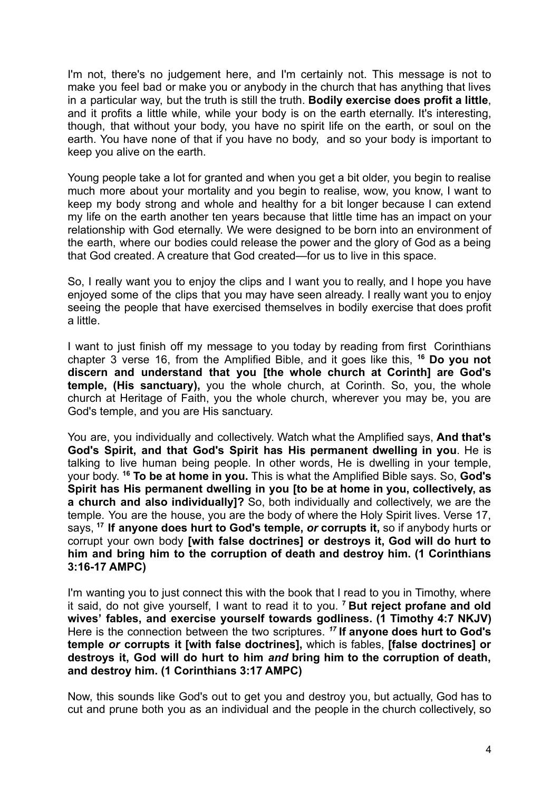I'm not, there's no judgement here, and I'm certainly not. This message is not to make you feel bad or make you or anybody in the church that has anything that lives in a particular way, but the truth is still the truth. **Bodily exercise does profit a little**, and it profits a little while, while your body is on the earth eternally. It's interesting, though, that without your body, you have no spirit life on the earth, or soul on the earth. You have none of that if you have no body, and so your body is important to keep you alive on the earth.

Young people take a lot for granted and when you get a bit older, you begin to realise much more about your mortality and you begin to realise, wow, you know, I want to keep my body strong and whole and healthy for a bit longer because I can extend my life on the earth another ten years because that little time has an impact on your relationship with God eternally. We were designed to be born into an environment of the earth, where our bodies could release the power and the glory of God as a being that God created. A creature that God created—for us to live in this space.

So, I really want you to enjoy the clips and I want you to really, and I hope you have enjoyed some of the clips that you may have seen already. I really want you to enjoy seeing the people that have exercised themselves in bodily exercise that does profit a little.

I want to just finish off my message to you today by reading from first Corinthians chapter 3 verse 16, from the Amplified Bible, and it goes like this, **<sup>16</sup> Do you not discern and understand that you [the whole church at Corinth] are God's temple, (His sanctuary),** you the whole church, at Corinth. So, you, the whole church at Heritage of Faith, you the whole church, wherever you may be, you are God's temple, and you are His sanctuary.

You are, you individually and collectively. Watch what the Amplified says, **And that's God's Spirit, and that God's Spirit has His permanent dwelling in you**. He is talking to live human being people. In other words, He is dwelling in your temple, your body. **<sup>16</sup> To be at home in you.** This is what the Amplified Bible says. So, **God's Spirit has His permanent dwelling in you [to be at home in you, collectively, as a church and also individually]?** So, both individually and collectively, we are the temple. You are the house, you are the body of where the Holy Spirit lives. Verse 17, says, **<sup>17</sup> If anyone does hurt to God's temple,** *or* **corrupts it,** so if anybody hurts or corrupt your own body **[with false doctrines] or destroys it, God will do hurt to him and bring him to the corruption of death and destroy him. (1 Corinthians 3:16-17 AMPC)**

I'm wanting you to just connect this with the book that I read to you in Timothy, where it said, do not give yourself, I want to read it to you. **<sup>7</sup> But reject profane and old wives' fables, and exercise yourself towards godliness. (1 Timothy 4:7 NKJV)** Here is the connection between the two scriptures. *<sup>17</sup>* **If anyone does hurt to God's temple** *or* **corrupts it [with false doctrines],** which is fables, **[false doctrines] or destroys it, God will do hurt to him** *and* **bring him to the corruption of death, and destroy him. (1 Corinthians 3:17 AMPC)**

Now, this sounds like God's out to get you and destroy you, but actually, God has to cut and prune both you as an individual and the people in the church collectively, so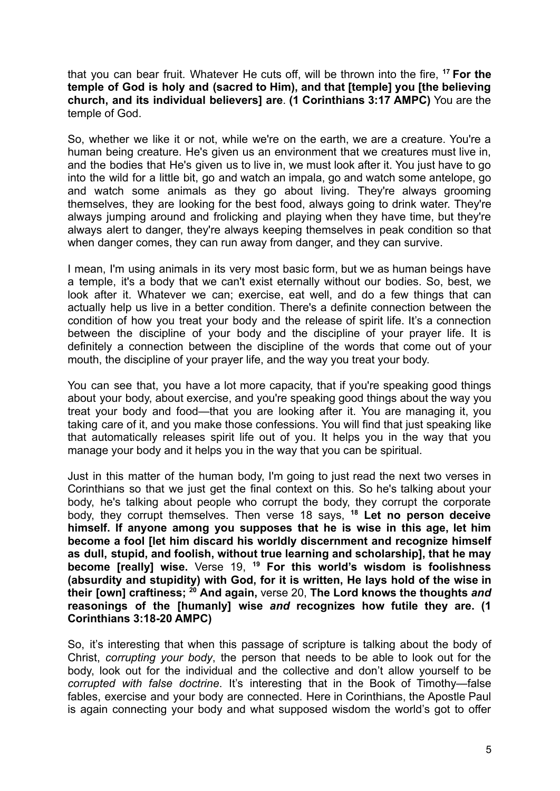that you can bear fruit. Whatever He cuts off, will be thrown into the fire, **<sup>17</sup> For the temple of God is holy and (sacred to Him), and that [temple] you [the believing church, and its individual believers] are**. **(1 Corinthians 3:17 AMPC)** You are the temple of God.

So, whether we like it or not, while we're on the earth, we are a creature. You're a human being creature. He's given us an environment that we creatures must live in, and the bodies that He's given us to live in, we must look after it. You just have to go into the wild for a little bit, go and watch an impala, go and watch some antelope, go and watch some animals as they go about living. They're always grooming themselves, they are looking for the best food, always going to drink water. They're always jumping around and frolicking and playing when they have time, but they're always alert to danger, they're always keeping themselves in peak condition so that when danger comes, they can run away from danger, and they can survive.

I mean, I'm using animals in its very most basic form, but we as human beings have a temple, it's a body that we can't exist eternally without our bodies. So, best, we look after it. Whatever we can; exercise, eat well, and do a few things that can actually help us live in a better condition. There's a definite connection between the condition of how you treat your body and the release of spirit life. It's a connection between the discipline of your body and the discipline of your prayer life. It is definitely a connection between the discipline of the words that come out of your mouth, the discipline of your prayer life, and the way you treat your body.

You can see that, you have a lot more capacity, that if you're speaking good things about your body, about exercise, and you're speaking good things about the way you treat your body and food—that you are looking after it. You are managing it, you taking care of it, and you make those confessions. You will find that just speaking like that automatically releases spirit life out of you. It helps you in the way that you manage your body and it helps you in the way that you can be spiritual.

Just in this matter of the human body, I'm going to just read the next two verses in Corinthians so that we just get the final context on this. So he's talking about your body, he's talking about people who corrupt the body, they corrupt the corporate body, they corrupt themselves. Then verse 18 says, **<sup>18</sup> Let no person deceive himself. If anyone among you supposes that he is wise in this age, let him become a fool [let him discard his worldly discernment and recognize himself as dull, stupid, and foolish, without true learning and scholarship], that he may become [really] wise.** Verse 19, **<sup>19</sup> For this world's wisdom is foolishness (absurdity and stupidity) with God, for it is written, He lays hold of the wise in their [own] craftiness; <sup>20</sup> And again,** verse 20, **The Lord knows the thoughts** *and* **reasonings of the [humanly] wise** *and* **recognizes how futile they are. (1 Corinthians 3:18-20 AMPC)**

So, it's interesting that when this passage of scripture is talking about the body of Christ, *corrupting your body*, the person that needs to be able to look out for the body, look out for the individual and the collective and don't allow yourself to be *corrupted with false doctrine*. It's interesting that in the Book of Timothy—false fables, exercise and your body are connected. Here in Corinthians, the Apostle Paul is again connecting your body and what supposed wisdom the world's got to offer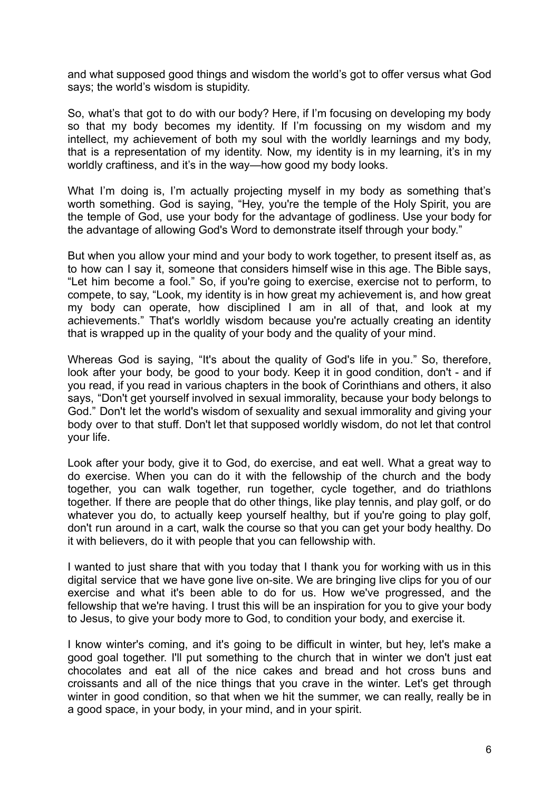and what supposed good things and wisdom the world's got to offer versus what God says; the world's wisdom is stupidity.

So, what's that got to do with our body? Here, if I'm focusing on developing my body so that my body becomes my identity. If I'm focussing on my wisdom and my intellect, my achievement of both my soul with the worldly learnings and my body, that is a representation of my identity. Now, my identity is in my learning, it's in my worldly craftiness, and it's in the way—how good my body looks.

What I'm doing is, I'm actually projecting myself in my body as something that's worth something. God is saying, "Hey, you're the temple of the Holy Spirit, you are the temple of God, use your body for the advantage of godliness. Use your body for the advantage of allowing God's Word to demonstrate itself through your body."

But when you allow your mind and your body to work together, to present itself as, as to how can I say it, someone that considers himself wise in this age. The Bible says, "Let him become a fool." So, if you're going to exercise, exercise not to perform, to compete, to say, "Look, my identity is in how great my achievement is, and how great my body can operate, how disciplined I am in all of that, and look at my achievements." That's worldly wisdom because you're actually creating an identity that is wrapped up in the quality of your body and the quality of your mind.

Whereas God is saying, "It's about the quality of God's life in you." So, therefore, look after your body, be good to your body. Keep it in good condition, don't - and if you read, if you read in various chapters in the book of Corinthians and others, it also says, "Don't get yourself involved in sexual immorality, because your body belongs to God." Don't let the world's wisdom of sexuality and sexual immorality and giving your body over to that stuff. Don't let that supposed worldly wisdom, do not let that control your life.

Look after your body, give it to God, do exercise, and eat well. What a great way to do exercise. When you can do it with the fellowship of the church and the body together, you can walk together, run together, cycle together, and do triathlons together. If there are people that do other things, like play tennis, and play golf, or do whatever you do, to actually keep yourself healthy, but if you're going to play golf, don't run around in a cart, walk the course so that you can get your body healthy. Do it with believers, do it with people that you can fellowship with.

I wanted to just share that with you today that I thank you for working with us in this digital service that we have gone live on-site. We are bringing live clips for you of our exercise and what it's been able to do for us. How we've progressed, and the fellowship that we're having. I trust this will be an inspiration for you to give your body to Jesus, to give your body more to God, to condition your body, and exercise it.

I know winter's coming, and it's going to be difficult in winter, but hey, let's make a good goal together. I'll put something to the church that in winter we don't just eat chocolates and eat all of the nice cakes and bread and hot cross buns and croissants and all of the nice things that you crave in the winter. Let's get through winter in good condition, so that when we hit the summer, we can really, really be in a good space, in your body, in your mind, and in your spirit.